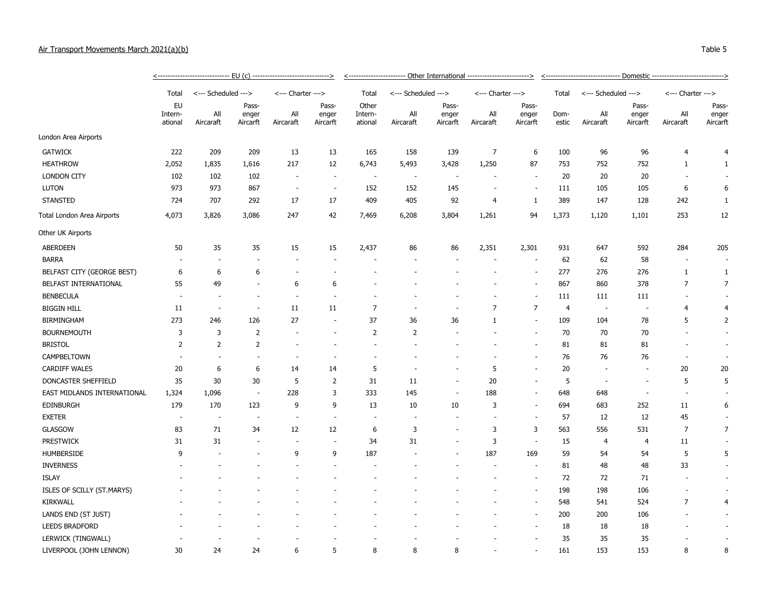## Air Transport Movements March 2021(a

London Area Airports

| ir Transport Movements March 2021(a)(b) |                                 |                     |                            |                          |                            |                             |                     |                            |                          |                            |               |                                           |                            |                          | Table 5                    |  |  |
|-----------------------------------------|---------------------------------|---------------------|----------------------------|--------------------------|----------------------------|-----------------------------|---------------------|----------------------------|--------------------------|----------------------------|---------------|-------------------------------------------|----------------------------|--------------------------|----------------------------|--|--|
|                                         |                                 |                     |                            |                          |                            |                             |                     |                            |                          |                            |               | - Domestic -----------------------------> |                            |                          |                            |  |  |
|                                         | Total                           | <--- Scheduled ---> |                            | <--- Charter --->        |                            | Total                       | <--- Scheduled ---> |                            | <--- Charter --->        |                            | Total         | <--- Scheduled --->                       |                            | <--- Charter --->        |                            |  |  |
|                                         | <b>EU</b><br>Intern-<br>ational | All<br>Aircaraft    | Pass-<br>enger<br>Aircarft | All<br>Aircaraft         | Pass-<br>enger<br>Aircarft | Other<br>Intern-<br>ational | All<br>Aircaraft    | Pass-<br>enger<br>Aircarft | All<br>Aircaraft         | Pass-<br>enger<br>Aircarft | Dom-<br>estic | All<br>Aircaraft                          | Pass-<br>enger<br>Aircarft | All<br>Aircaraft         | Pass-<br>enger<br>Aircarft |  |  |
| ondon Area Airports                     |                                 |                     |                            |                          |                            |                             |                     |                            |                          |                            |               |                                           |                            |                          |                            |  |  |
| GATWICK                                 | 222                             | 209                 | 209                        | 13                       | 13                         | 165                         | 158                 | 139                        |                          | 6                          | 100           | 96                                        | 96                         |                          |                            |  |  |
| <b>HEATHROW</b>                         | 2,052                           | 1,835               | 1,616                      | 217                      | 12                         | 6,743                       | 5,493               | 3,428                      | 1,250                    | 87                         | 753           | 752                                       | 752                        |                          |                            |  |  |
| LONDON CITY                             | 102                             | 102                 | 102                        | $\overline{\phantom{a}}$ | $\sim$                     | $\overline{\phantom{a}}$    |                     | $\overline{\phantom{a}}$   |                          | $\overline{\phantom{a}}$   | 20            | 20                                        | 20                         |                          |                            |  |  |
| Luton                                   | 973                             | 973                 | 867                        | $\overline{\phantom{a}}$ | $\overline{\phantom{a}}$   | 152                         | 152                 | 145                        | $\sim$                   | $\sim$                     | 111           | 105                                       | 105                        | 6                        | 6                          |  |  |
| STANSTED                                | 724                             | 707                 | 292                        | 17                       | 17                         | 409                         | 405                 | 92                         | 4                        |                            | 389           | 147                                       | 128                        | 242                      |                            |  |  |
| otal London Area Airports               | 4,073                           | 3,826               | 3,086                      | 247                      | 42                         | 7,469                       | 6,208               | 3,804                      | 1,261                    | 94                         | 1,373         | 1,120                                     | 1,101                      | 253                      | 12                         |  |  |
| ther UK Airports                        |                                 |                     |                            |                          |                            |                             |                     |                            |                          |                            |               |                                           |                            |                          |                            |  |  |
| ABERDEEN                                | 50                              | 35                  | 35                         | 15                       | 15                         | 2,437                       | 86                  | 86                         | 2,351                    | 2,301                      | 931           | 647                                       | 592                        | 284                      | 205                        |  |  |
| <b>BARRA</b>                            |                                 |                     |                            | $\overline{\phantom{a}}$ | $\overline{\phantom{a}}$   | $\overline{\phantom{a}}$    |                     | $\sim$                     | $\overline{\phantom{a}}$ | $\overline{\phantom{a}}$   | 62            | 62                                        | 58                         | $\overline{\phantom{a}}$ |                            |  |  |
| BELFAST CITY (GEORGE BEST)              | 6                               | 6                   | 6                          | ٠                        |                            |                             |                     |                            |                          | $\overline{\phantom{a}}$   | 277           | 276                                       | 276                        |                          |                            |  |  |
| <b>REI FAST INTERNATIONAL</b>           | 55                              | 49                  | $\sim$                     | 6                        | -6                         | $\sim$                      |                     |                            |                          |                            | 867           | 860                                       | 378                        |                          |                            |  |  |

| <b>STANSTED</b>             | 724            | 707                      | 292                      | 17                       | 17                       | 409            | 405   | 92                       | $\overline{4}$ | 1                        | 389   | 147            | 128   | 242            | $\mathbf{1}$             |
|-----------------------------|----------------|--------------------------|--------------------------|--------------------------|--------------------------|----------------|-------|--------------------------|----------------|--------------------------|-------|----------------|-------|----------------|--------------------------|
| Total London Area Airports  | 4,073          | 3,826                    | 3,086                    | 247                      | 42                       | 7,469          | 6,208 | 3,804                    | 1,261          | 94                       | 1,373 | 1,120          | 1,101 | 253            | 12                       |
| Other UK Airports           |                |                          |                          |                          |                          |                |       |                          |                |                          |       |                |       |                |                          |
| <b>ABERDEEN</b>             | 50             | 35                       | 35                       | 15                       | 15                       | 2,437          | 86    | 86                       | 2,351          | 2,301                    | 931   | 647            | 592   | 284            | 205                      |
| <b>BARRA</b>                |                |                          |                          |                          |                          |                |       |                          |                | $\overline{\phantom{a}}$ | 62    | 62             | 58    |                |                          |
| BELFAST CITY (GEORGE BEST)  | 6              | 6                        | 6                        |                          |                          |                |       |                          |                |                          | 277   | 276            | 276   | 1              | 1                        |
| BELFAST INTERNATIONAL       | 55             | 49                       |                          | 6                        | 6                        |                |       |                          |                |                          | 867   | 860            | 378   | 7              | 7                        |
| <b>BENBECULA</b>            |                |                          | $\overline{\phantom{a}}$ | $\blacksquare$           |                          |                |       |                          |                |                          | 111   | 111            | 111   |                |                          |
| <b>BIGGIN HILL</b>          | 11             |                          |                          | 11                       | 11                       | $\overline{7}$ |       |                          | $\overline{7}$ | $\overline{7}$           | 4     |                |       | 4              | 4                        |
| <b>BIRMINGHAM</b>           | 273            | 246                      | 126                      | 27                       | $\overline{\phantom{a}}$ | 37             | 36    | 36                       | 1              | $\sim$                   | 109   | 104            | 78    | 5              | $\overline{2}$           |
| <b>BOURNEMOUTH</b>          | 3              | 3                        | $\overline{2}$           |                          |                          | $\overline{2}$ | 2     |                          |                |                          | 70    | 70             | 70    |                |                          |
| <b>BRISTOL</b>              | $\overline{2}$ | 2                        | 2                        |                          |                          |                |       |                          |                | $\overline{\phantom{a}}$ | 81    | 81             | 81    |                | $\overline{\phantom{a}}$ |
| <b>CAMPBELTOWN</b>          |                |                          |                          |                          |                          |                |       |                          |                |                          | 76    | 76             | 76    |                |                          |
| <b>CARDIFF WALES</b>        | 20             | 6                        | 6                        | 14                       | 14                       | 5              |       |                          | 5              | $\sim$                   | 20    |                |       | 20             | 20                       |
| DONCASTER SHEFFIELD         | 35             | 30                       | 30                       | 5                        | 2                        | 31             | 11    |                          | 20             | $\overline{\phantom{a}}$ | 5     |                |       | 5              | 5                        |
| EAST MIDLANDS INTERNATIONAL | 1,324          | 1,096                    | $\overline{\phantom{a}}$ | 228                      | 3                        | 333            | 145   |                          | 188            | $\sim$                   | 648   | 648            |       |                |                          |
| EDINBURGH                   | 179            | 170                      | 123                      | 9                        | 9                        | 13             | 10    | 10                       | 3              | $\overline{\phantom{a}}$ | 694   | 683            | 252   | 11             | 6                        |
| <b>EXETER</b>               |                | $\overline{\phantom{a}}$ | $\overline{\phantom{a}}$ | $\overline{\phantom{a}}$ | $\sim$                   | $\sim$         |       |                          |                | $\overline{\phantom{a}}$ | 57    | 12             | 12    | 45             |                          |
| <b>GLASGOW</b>              | 83             | 71                       | 34                       | 12                       | 12                       | 6              | 3     |                          | 3              | 3                        | 563   | 556            | 531   | $\overline{7}$ | $\overline{7}$           |
| <b>PRESTWICK</b>            | 31             | 31                       | $\overline{\phantom{a}}$ | $\overline{\phantom{a}}$ | $\sim$                   | 34             | 31    | $\overline{\phantom{a}}$ | 3              | $\overline{\phantom{a}}$ | 15    | $\overline{4}$ | 4     | 11             |                          |
| <b>HUMBERSIDE</b>           | 9              |                          |                          | 9                        | 9                        | 187            |       |                          | 187            | 169                      | 59    | 54             | 54    | 5              | 5                        |
| <b>INVERNESS</b>            |                |                          |                          |                          |                          |                |       |                          |                | $\sim$                   | 81    | 48             | 48    | 33             | $\sim$                   |
| <b>ISLAY</b>                |                |                          |                          |                          |                          |                |       |                          |                | $\overline{\phantom{a}}$ | 72    | 72             | 71    |                | ٠                        |
| ISLES OF SCILLY (ST.MARYS)  |                |                          |                          |                          |                          |                |       |                          |                | $\sim$                   | 198   | 198            | 106   |                |                          |
| <b>KIRKWALL</b>             |                |                          |                          |                          |                          |                |       |                          |                | $\sim$                   | 548   | 541            | 524   | $\overline{7}$ | 4                        |
| LANDS END (ST JUST)         |                |                          |                          |                          |                          |                |       |                          |                |                          | 200   | 200            | 106   |                |                          |
| <b>LEEDS BRADFORD</b>       |                |                          |                          |                          |                          |                |       |                          |                |                          | 18    | 18             | 18    |                | ٠                        |
| LERWICK (TINGWALL)          |                |                          |                          |                          |                          |                |       |                          |                |                          | 35    | 35             | 35    |                |                          |
| LIVERPOOL (JOHN LENNON)     | 30             | 24                       | 24                       | 6                        | 5                        | 8              | 8     | 8                        |                |                          | 161   | 153            | 153   | 8              | 8                        |